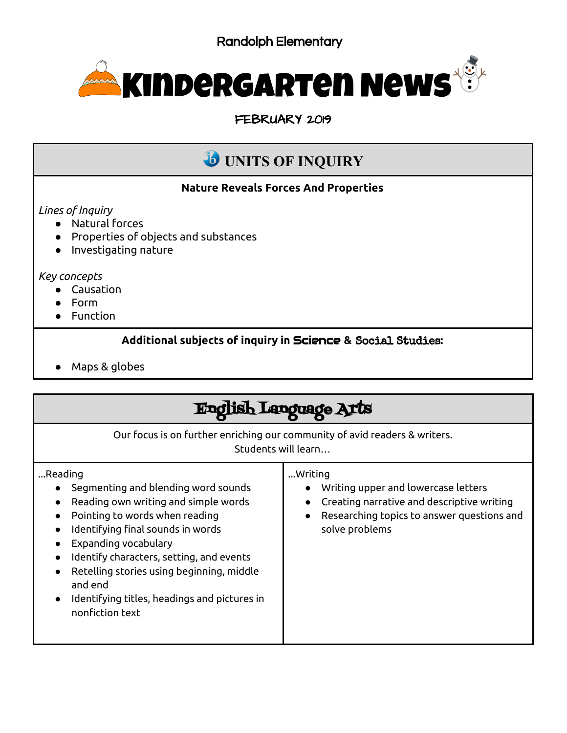

FEBRUARY 2019

# **UNITS OF INQUIRY**

### **Nature Reveals Forces And Properties**

*Lines of Inquiry*

- Natural forces
- Properties of objects and substances
- Investigating nature

#### *Key concepts*

- Causation
- Form
- Function

### **Additional subjects of inquiry in** Science **&** Social Studies**:**

● Maps & globes

#### English Language Arts Our focus is on further enriching our community of avid readers & writers. Students will learn… ...Reading ● Segmenting and blending word sounds ● Reading own writing and simple words ● Pointing to words when reading ● Identifying final sounds in words ● Expanding vocabulary ● Identify characters, setting, and events ● Retelling stories using beginning, middle and end ● Identifying titles, headings and pictures in nonfiction text ...Writing ● Writing upper and lowercase letters ● Creating narrative and descriptive writing ● Researching topics to answer questions and solve problems